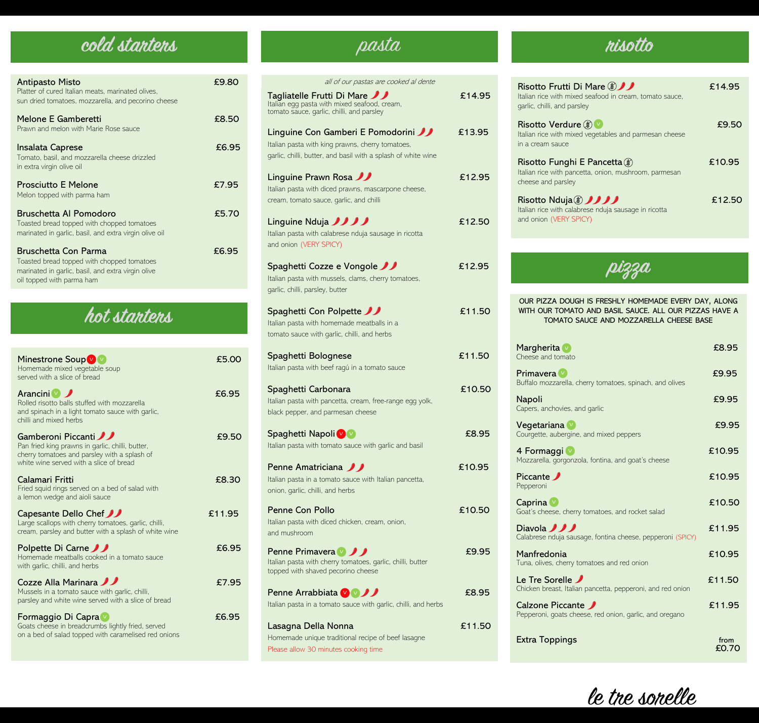# **cold starters** pasta **risotto**

| <b>Antipasto Misto</b><br>Platter of cured Italian meats, marinated olives,<br>sun dried tomatoes, mozzarella, and pecorino cheese                    | £9.80 |
|-------------------------------------------------------------------------------------------------------------------------------------------------------|-------|
| Melone E Gamberetti<br>Prawn and melon with Marie Rose sauce                                                                                          | £8.50 |
| Insalata Caprese<br>Tomato, basil, and mozzarella cheese drizzled<br>in extra virgin olive oil                                                        | £6.95 |
| <b>Prosciutto E Melone</b><br>Melon topped with parma ham                                                                                             | £7.95 |
| <b>Bruschetta Al Pomodoro</b><br>Toasted bread topped with chopped tomatoes<br>marinated in garlic, basil, and extra virgin olive oil                 | £5.70 |
| Bruschetta Con Parma<br>Toasted bread topped with chopped tomatoes<br>marinated in garlic, basil, and extra virgin olive<br>oil topped with parma ham | £6.95 |

# **hot starters**

| Minestrone Soup v<br>Homemade mixed vegetable soup<br>served with a slice of bread                                                                                | £5.00  |
|-------------------------------------------------------------------------------------------------------------------------------------------------------------------|--------|
| Arancini V<br>Rolled risotto balls stuffed with mozzarella<br>and spinach in a light tomato sauce with garlic,<br>chilli and mixed herbs                          | £6.95  |
| Gamberoni Piccanti<br>Pan fried king prawns in garlic, chilli, butter,<br>cherry tomatoes and parsley with a splash of<br>white wine served with a slice of bread | £9.50  |
| Calamari Fritti<br>Fried squid rings served on a bed of salad with<br>a lemon wedge and aioli sauce                                                               | £8.30  |
| <b>Capesante Dello Chef</b><br>Large scallops with cherry tomatoes, garlic, chilli,<br>cream, parsley and butter with a splash of white wine                      | £11.95 |
| Polpette Di Carne<br>Homemade meatballs cooked in a tomato sauce<br>with garlic, chilli, and herbs                                                                | £6.95  |
| Cozze Alla Marinara JJ<br>Mussels in a tomato sauce with garlic, chilli,<br>parsley and white wine served with a slice of bread                                   | £7.95  |
| Formaggio Di Capra<br>Goats cheese in breadcrumbs lightly fried, served<br>on a bed of salad topped with caramelised red onions                                   | £6.95  |

| all of our pastas are cooked al dente                                                                                      |        |
|----------------------------------------------------------------------------------------------------------------------------|--------|
| Tagliatelle Frutti Di Mare JJ<br>Italian egg pasta with mixed seafood, cream,<br>tomato sauce, garlic, chilli, and parsley | £14.95 |
| Linguine Con Gamberi E Pomodorini                                                                                          | £13.95 |
| Italian pasta with king prawns, cherry tomatoes,                                                                           |        |
| garlic, chilli, butter, and basil with a splash of white wine                                                              |        |
| Linguine Prawn Rosa                                                                                                        | £12.95 |
| Italian pasta with diced prawns, mascarpone cheese,                                                                        |        |
| cream, tomato sauce, garlic, and chilli                                                                                    |        |
| Linguine Nduja <i>JJJJ</i>                                                                                                 | £12.50 |
| Italian pasta with calabrese nduja sausage in ricotta                                                                      |        |
| and onion (VERY SPICY)                                                                                                     |        |
|                                                                                                                            |        |
| Spaghetti Cozze e Vongole JJ                                                                                               | £12.95 |
| Italian pasta with mussels, clams, cherry tomatoes,<br>garlic, chilli, parsley, butter                                     |        |
|                                                                                                                            |        |
| Spaghetti Con Polpette JJ                                                                                                  | £11.50 |
| Italian pasta with homemade meatballs in a                                                                                 |        |
| tomato sauce with garlic, chilli, and herbs                                                                                |        |
| Spaghetti Bolognese                                                                                                        | £11.50 |
| Italian pasta with beef ragú in a tomato sauce                                                                             |        |
|                                                                                                                            | £10.50 |
| Spaghetti Carbonara<br>Italian pasta with pancetta, cream, free-range egg yolk,                                            |        |
| black pepper, and parmesan cheese                                                                                          |        |
|                                                                                                                            |        |
| Spaghetti Napoli V                                                                                                         | £8.95  |
| Italian pasta with tomato sauce with garlic and basil                                                                      |        |
| <b>Penne Amatriciana <i>D</i></b>                                                                                          | £10.95 |
| Italian pasta in a tomato sauce with Italian pancetta,                                                                     |        |
| onion, garlic, chilli, and herbs                                                                                           |        |
| <b>Penne Con Pollo</b>                                                                                                     | £10.50 |
| Italian pasta with diced chicken, cream, onion,                                                                            |        |
| and mushroom                                                                                                               |        |
| <b>Penne Primavera</b> DD                                                                                                  | £9.95  |
| Italian pasta with cherry tomatoes, garlic, chilli, butter                                                                 |        |
| topped with shaved pecorino cheese                                                                                         |        |
| <b>Penne Arrabbiata</b> V V J                                                                                              | £8.95  |
| Italian pasta in a tomato sauce with garlic, chilli, and herbs                                                             |        |
|                                                                                                                            |        |
| Lasagna Della Nonna                                                                                                        | £11.50 |
| Homemade unique traditional recipe of beef lasagne<br>Please allow 30 minutes cooking time                                 |        |
|                                                                                                                            |        |

| Risotto Frutti Di Mare (\$)<br>Italian rice with mixed seafood in cream, tomato sauce.<br>garlic, chilli, and parsley | £14.95 |
|-----------------------------------------------------------------------------------------------------------------------|--------|
| Risotto Verdure ( $\gg$ )<br>Italian rice with mixed vegetables and parmesan cheese<br>in a cream sauce               | £9.50  |
| Risotto Funghi E Pancetta (\$)<br>Italian rice with pancetta, onion, mushroom, parmesan<br>cheese and parsley         | £10.95 |
| Risotto Nduja (3) JJJJ<br>Italian rice with calabrese nduja sausage in ricotta<br>and onion (VERY SPICY)              | £12.50 |

# **pizza**

| OUR PIZZA DOUGH IS FRESHLY HOMEMADE EVERY DAY, ALONG<br>WITH OUR TOMATO AND BASIL SAUCE. ALL OUR PIZZAS HAVE A<br>TOMATO SAUCE AND MOZZARELLA CHEESE BASE |               |
|-----------------------------------------------------------------------------------------------------------------------------------------------------------|---------------|
| Margherita v<br>Cheese and tomato                                                                                                                         | £8.95         |
| <b>Primavera</b> v<br>Buffalo mozzarella, cherry tomatoes, spinach, and olives                                                                            | £9.95         |
| Napoli<br>Capers, anchovies, and garlic                                                                                                                   | £9.95         |
| Vegetariana<br>Courgette, aubergine, and mixed peppers                                                                                                    | £9.95         |
| 4 Formaggi v<br>Mozzarella, gorgonzola, fontina, and goat's cheese                                                                                        | £10.95        |
| Piccante <b>J</b><br>Pepperoni                                                                                                                            | £10.95        |
| Caprina v<br>Goat's cheese, cherry tomatoes, and rocket salad                                                                                             | £10.50        |
| Diavola <i>JJJ</i><br>Calabrese nduja sausage, fontina cheese, pepperoni (SPICY)                                                                          | £11.95        |
| Manfredonia<br>Tuna, olives, cherry tomatoes and red onion                                                                                                | £10.95        |
| Le Tre Sorelle $\mathcal I$<br>Chicken breast, Italian pancetta, pepperoni, and red onion                                                                 | £11.50        |
| Calzone Piccante<br>Pepperoni, goats cheese, red onion, garlic, and oregano                                                                               | £11.95        |
| <b>Extra Toppings</b>                                                                                                                                     | from<br>£0.70 |